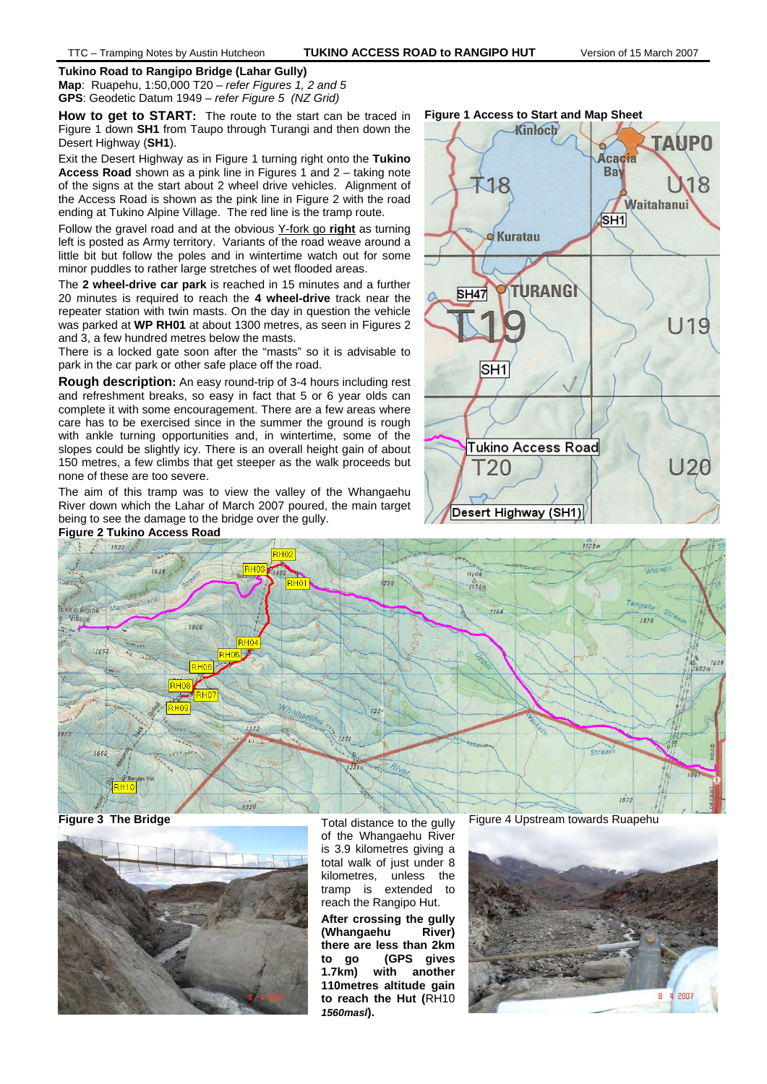### **Tukino Road to Rangipo Bridge (Lahar Gully)**

**Map**: Ruapehu, 1:50,000 T20 – *refer Figures 1, 2 and 5* **GPS**: Geodetic Datum 1949 – *refer Figure 5 (NZ Grid)* 

**How to get to START:** The route to the start can be traced in Figure 1 down **SH1** from Taupo through Turangi and then down the Desert Highway (**SH1**).

Exit the Desert Highway as in Figure 1 turning right onto the **Tukino Access Road** shown as a pink line in Figures 1 and 2 – taking note of the signs at the start about 2 wheel drive vehicles. Alignment of the Access Road is shown as the pink line in Figure 2 with the road ending at Tukino Alpine Village. The red line is the tramp route.

Follow the gravel road and at the obvious Y-fork go **right** as turning left is posted as Army territory. Variants of the road weave around a little bit but follow the poles and in wintertime watch out for some minor puddles to rather large stretches of wet flooded areas.

The **2 wheel-drive car park** is reached in 15 minutes and a further 20 minutes is required to reach the **4 wheel-drive** track near the repeater station with twin masts. On the day in question the vehicle was parked at **WP RH01** at about 1300 metres, as seen in Figures 2 and 3, a few hundred metres below the masts.

There is a locked gate soon after the "masts" so it is advisable to park in the car park or other safe place off the road.

**Rough description:** An easy round-trip of 3-4 hours including rest and refreshment breaks, so easy in fact that 5 or 6 year olds can complete it with some encouragement. There are a few areas where care has to be exercised since in the summer the ground is rough with ankle turning opportunities and, in wintertime, some of the slopes could be slightly icy. There is an overall height gain of about 150 metres, a few climbs that get steeper as the walk proceeds but none of these are too severe.

The aim of this tramp was to view the valley of the Whangaehu River down which the Lahar of March 2007 poured, the main target being to see the damage to the bridge over the gully.



**Figure 3 The Bridge Total distance to the gully** 



of the Whangaehu River is 3.9 kilometres giving a total walk of just under 8 kilometres, unless the tramp is extended to reach the Rangipo Hut.

**After crossing the gully (Whangaehu River) there are less than 2km to go (GPS gives 1.7km) with another 110metres altitude gain to reach the Hut (**RH10 *1560masl***).**



Figure 4 Upstream towards Ruapehu

**Figure 1 Access to Start and Map Sheet** 

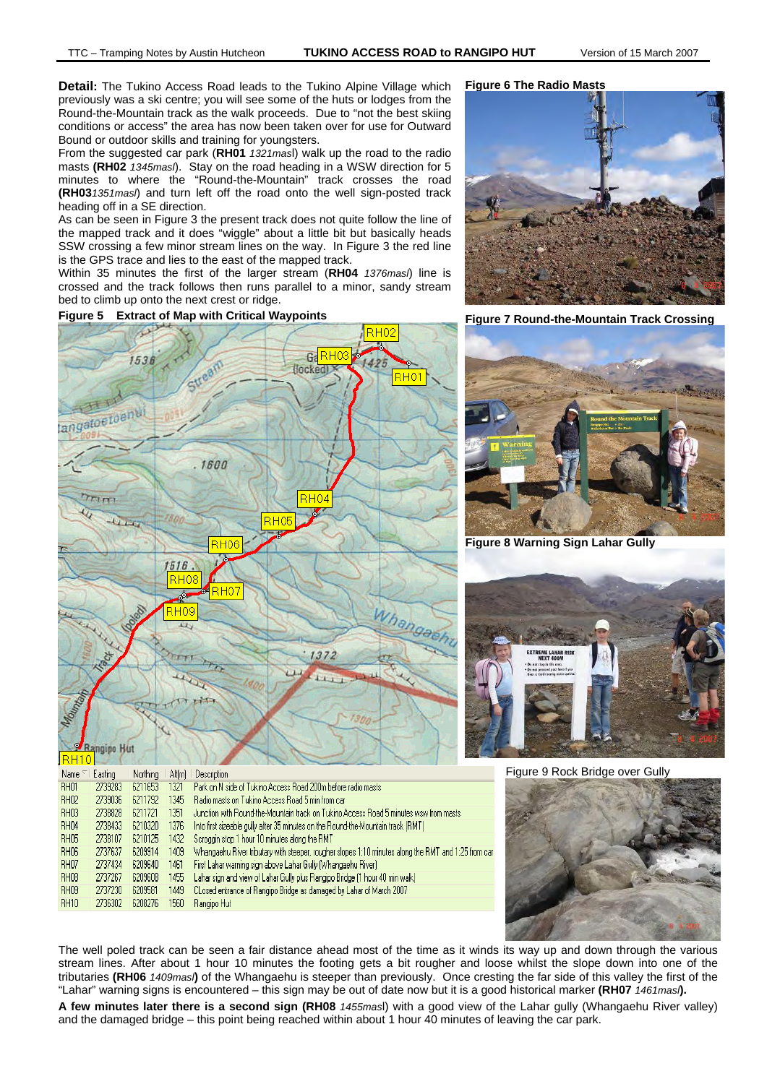**RH02** 

**Detail:** The Tukino Access Road leads to the Tukino Alpine Village which previously was a ski centre; you will see some of the huts or lodges from the Round-the-Mountain track as the walk proceeds. Due to "not the best skiing conditions or access" the area has now been taken over for use for Outward Bound or outdoor skills and training for youngsters.

From the suggested car park (**RH01** *1321mas*l) walk up the road to the radio masts **(RH02** *1345masl*). Stay on the road heading in a WSW direction for 5 minutes to where the "Round-the-Mountain" track crosses the road **(RH03***1351masl*) and turn left off the road onto the well sign-posted track heading off in a SE direction.

As can be seen in Figure 3 the present track does not quite follow the line of the mapped track and it does "wiggle" about a little bit but basically heads SSW crossing a few minor stream lines on the way. In Figure 3 the red line is the GPS trace and lies to the east of the mapped track.

Within 35 minutes the first of the larger stream (**RH04** *1376masl*) line is crossed and the track follows then runs parallel to a minor, sandy stream bed to climb up onto the next crest or ridge.

Figure 5 Extract of Map with Critical Waypoints Figure 7 Round-the-Mountain Track Crossing

**RH07** 

**RH08** 

RH<sub>09</sub>

**RH10** 

2737434

2737267

2737230

2736302

6209640

6209608

6209581

6208276

1461

1455

1449

1560

Rangipo Hut

### GaRH<sub>03</sub> 1536 Hocked ∍но langatoetoenu 1600  $RH04$  $\tau_{\text{Hm}}$ R HAR 1516  $RH08$ Whangae **HOS**  $1372$  $130$ **Rangipo Hut** RH10 Northing Altiml Description Name<sup>1</sup> Easting Park on N side of Tukino Access Road 200m before radio masts **RH01** 2739283 6211653 1321 2739036 6211792 Badio masts on Tukino Access Boad 5 min from car BH02 1345 **RH03** 2738828 6211721 Junction with Round-the-Mountain track on Tukino Access Road 5 minutes wsw from masts 1351 **RH04** Into first sizeable gully after 35 minutes on the Round-the-Mountain track (RMT) 2738433 6210320 1376 **RH05** 2738107 6210125 1432 Scroggin stop 1 hour 10 minutes along the RMT Whangaehu River tributary with steeper, rougher slopes 1:10 minutes along the RMT and 1:25 from car **RH06** 2737637 6209914 1409

First Lahar warning sign above Lahar Gully (Whangaehu River)

Lahar sign and view of Lahar Gully plus Rangipo Bridge (1 hour 40 min walk)

CLosed entrance of Rangipo Bridge as damaged by Lahar of March 2007







**Figure 8 Warning Sign Lahar Gully** 



Figure 9 Rock Bridge over Gully



The well poled track can be seen a fair distance ahead most of the time as it winds its way up and down through the various stream lines. After about 1 hour 10 minutes the footing gets a bit rougher and loose whilst the slope down into one of the tributaries **(RH06** *1409masl***)** of the Whangaehu is steeper than previously. Once cresting the far side of this valley the first of the "Lahar" warning signs is encountered – this sign may be out of date now but it is a good historical marker **(RH07** *1461masl***).** 

**A few minutes later there is a second sign (RH08** *1455mas*l) with a good view of the Lahar gully (Whangaehu River valley) and the damaged bridge – this point being reached within about 1 hour 40 minutes of leaving the car park.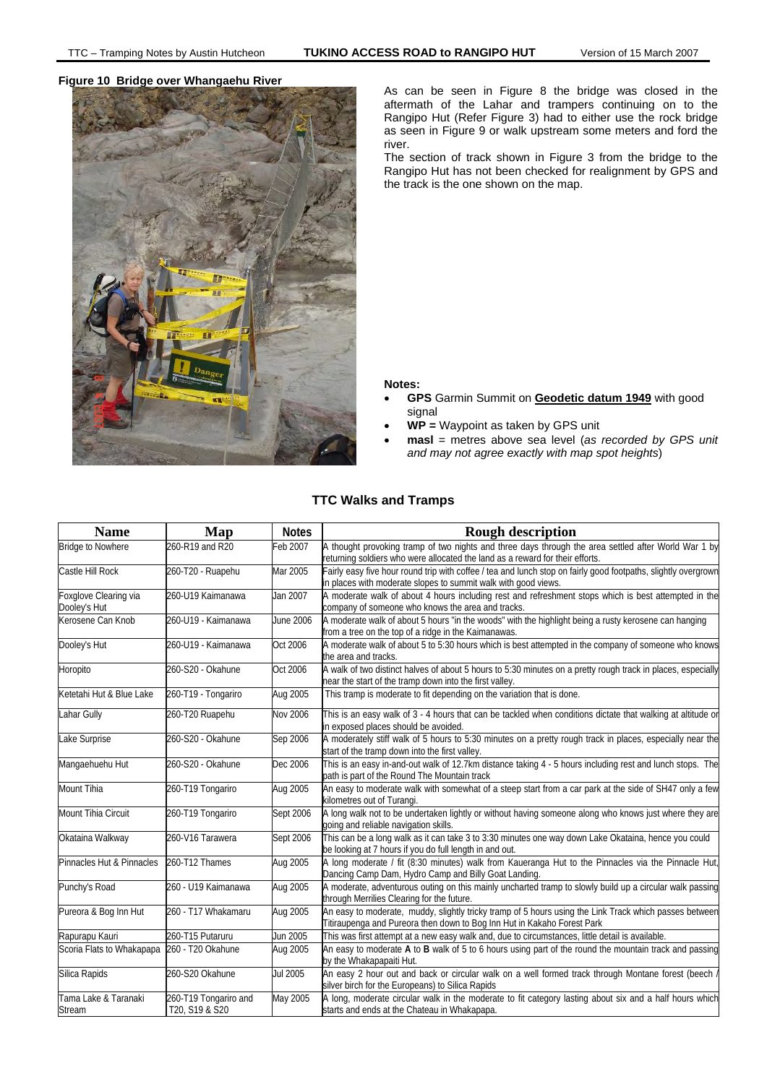

**Figure 10 Bridge over Whangaehu River** As can be seen in Figure 8 the bridge was closed in the aftermath of the Lahar and trampers continuing on to the Rangipo Hut (Refer Figure 3) had to either use the rock bridge as seen in Figure 9 or walk upstream some meters and ford the river.

> The section of track shown in Figure 3 from the bridge to the Rangipo Hut has not been checked for realignment by GPS and the track is the one shown on the map.

## **Notes:**

- **GPS** Garmin Summit on **Geodetic datum 1949** with good signal
- **WP =** Waypoint as taken by GPS unit
- **masl** = metres above sea level (*as recorded by GPS unit and may not agree exactly with map spot heights*)

# **TTC Walks and Tramps**

| <b>Name</b>                           | Map                                     | <b>Notes</b> | <b>Rough description</b>                                                                                                                                                             |
|---------------------------------------|-----------------------------------------|--------------|--------------------------------------------------------------------------------------------------------------------------------------------------------------------------------------|
| <b>Bridge to Nowhere</b>              | 260-R19 and R20                         | Feb 2007     | A thought provoking tramp of two nights and three days through the area settled after World War 1 by<br>eturning soldiers who were allocated the land as a reward for their efforts. |
| Castle Hill Rock                      | 260-T20 - Ruapehu                       | Mar 2005     | Fairly easy five hour round trip with coffee / tea and lunch stop on fairly good footpaths, slightly overgrown<br>in places with moderate slopes to summit walk with good views.     |
| Foxglove Clearing via<br>Dooley's Hut | 260-U19 Kaimanawa                       | Jan 2007     | A moderate walk of about 4 hours including rest and refreshment stops which is best attempted in the<br>company of someone who knows the area and tracks.                            |
| Kerosene Can Knob                     | 260-U19 - Kaimanawa                     | June 2006    | A moderate walk of about 5 hours "in the woods" with the highlight being a rusty kerosene can hanging<br>from a tree on the top of a ridge in the Kaimanawas.                        |
| Dooley's Hut                          | 260-U19 - Kaimanawa                     | Oct 2006     | A moderate walk of about 5 to 5:30 hours which is best attempted in the company of someone who knows<br>the area and tracks.                                                         |
| Horopito                              | 260-S20 - Okahune                       | Oct 2006     | A walk of two distinct halves of about 5 hours to 5:30 minutes on a pretty rough track in places, especially<br>near the start of the tramp down into the first valley.              |
| Ketetahi Hut & Blue Lake              | 260-T19 - Tongariro                     | Aug 2005     | This tramp is moderate to fit depending on the variation that is done.                                                                                                               |
| Lahar Gully                           | 260-T20 Ruapehu                         | Nov 2006     | This is an easy walk of 3 - 4 hours that can be tackled when conditions dictate that walking at altitude or<br>in exposed places should be avoided.                                  |
| Lake Surprise                         | 260-S20 - Okahune                       | Sep 2006     | A moderately stiff walk of 5 hours to 5:30 minutes on a pretty rough track in places, especially near the<br>start of the tramp down into the first valley.                          |
| Mangaehuehu Hut                       | 260-S20 - Okahune                       | Dec 2006     | This is an easy in-and-out walk of 12.7km distance taking 4 - 5 hours including rest and lunch stops. The<br>path is part of the Round The Mountain track                            |
| <b>Mount Tihia</b>                    | 260-T19 Tongariro                       | Aug 2005     | An easy to moderate walk with somewhat of a steep start from a car park at the side of SH47 only a few<br>kilometres out of Turangi.                                                 |
| Mount Tihia Circuit                   | 260-T19 Tongariro                       | Sept 2006    | A long walk not to be undertaken lightly or without having someone along who knows just where they are<br>going and reliable navigation skills.                                      |
| Okataina Walkway                      | 260-V16 Tarawera                        | Sept 2006    | This can be a long walk as it can take 3 to 3:30 minutes one way down Lake Okataina, hence you could<br>be looking at 7 hours if you do full length in and out.                      |
| Pinnacles Hut & Pinnacles             | 260-T12 Thames                          | Aug 2005     | A long moderate / fit (8:30 minutes) walk from Kaueranga Hut to the Pinnacles via the Pinnacle Hut,<br>Dancing Camp Dam, Hydro Camp and Billy Goat Landing.                          |
| Punchy's Road                         | 260 - U19 Kaimanawa                     | Aug 2005     | A moderate, adventurous outing on this mainly uncharted tramp to slowly build up a circular walk passing<br>through Merrilies Clearing for the future.                               |
| Pureora & Bog Inn Hut                 | 260 - T17 Whakamaru                     | Aug 2005     | An easy to moderate, muddy, slightly tricky tramp of 5 hours using the Link Track which passes between<br>Titiraupenga and Pureora then down to Bog Inn Hut in Kakaho Forest Park    |
| Rapurapu Kauri                        | 260-T15 Putaruru                        | Jun 2005     | This was first attempt at a new easy walk and, due to circumstances, little detail is available.                                                                                     |
| Scoria Flats to Whakapapa             | 260 - T20 Okahune                       | Aug 2005     | An easy to moderate A to B walk of 5 to 6 hours using part of the round the mountain track and passing<br>by the Whakapapaiti Hut.                                                   |
| Silica Rapids                         | 260-S20 Okahune                         | Jul 2005     | An easy 2 hour out and back or circular walk on a well formed track through Montane forest (beech /<br>silver birch for the Europeans) to Silica Rapids                              |
| Tama Lake & Taranaki<br>Stream        | 260-T19 Tongariro and<br>T20, S19 & S20 | May 2005     | A long, moderate circular walk in the moderate to fit category lasting about six and a half hours which<br>starts and ends at the Chateau in Whakapapa.                              |